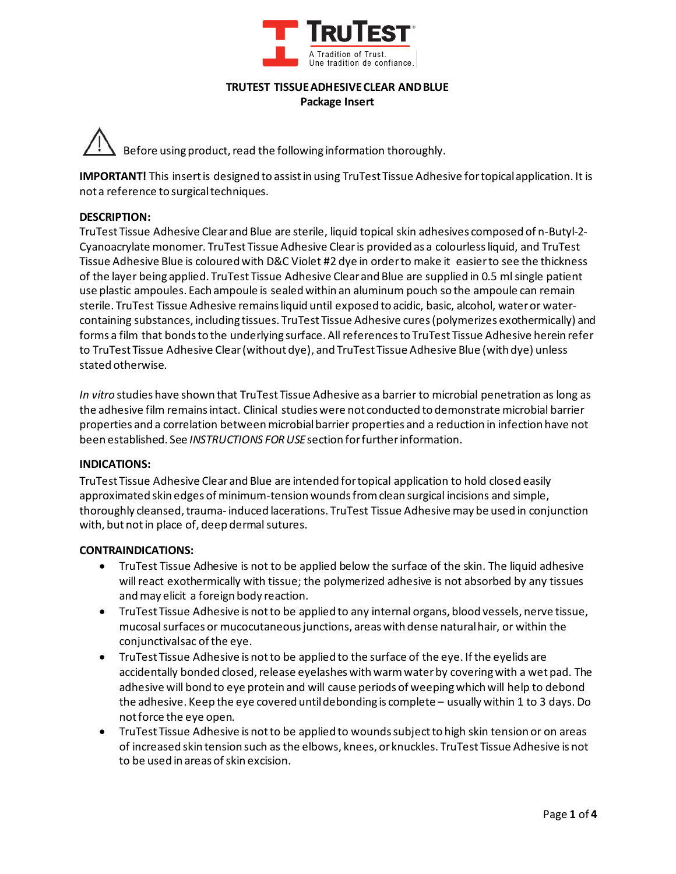

#### **TRUTEST TISSUEADHESIVECLEAR ANDBLUE Package Insert**

Before using product, read the following information thoroughly.

**IMPORTANT!** This insert is designed to assist in using TruTest Tissue Adhesive fortopicalapplication. It is not a reference to surgical techniques.

### **DESCRIPTION:**

TruTest Tissue Adhesive Clear and Blue are sterile, liquid topical skin adhesives composed of n‐Butyl‐2‐ Cyanoacrylate monomer. TruTest Tissue Adhesive Clear is provided as a colourless liquid, and TruTest Tissue Adhesive Blue is coloured with D&C Violet #2 dye in order to make it easier to see the thickness of the layer being applied. TruTest Tissue Adhesive Clear and Blue are supplied in 0.5 ml single patient use plastic ampoules. Each ampoule is sealed within an aluminum pouch so the ampoule can remain sterile. TruTest Tissue Adhesive remains liquid until exposed to acidic, basic, alcohol, water or water‐ containing substances, including tissues. TruTest Tissue Adhesive cures (polymerizes exothermically) and forms a film that bonds to the underlying surface. All references to TruTest Tissue Adhesive herein refer to TruTest Tissue Adhesive Clear (without dye), and TruTest Tissue Adhesive Blue (with dye) unless stated otherwise.

*In vitro* studies have shown that TruTest Tissue Adhesive as a barrier to microbial penetration as long as the adhesive film remains intact. Clinical studies were not conducted to demonstrate microbial barrier properties and a correlation between microbial barrier properties and a reduction in infection have not been established. See *INSTRUCTIONS FORUSE* section for further information.

#### **INDICATIONS:**

TruTest Tissue Adhesive Clear and Blue are intended for topical application to hold closed easily approximated skin edges of minimum‐tension wounds from clean surgical incisions and simple, thoroughly cleansed, trauma‐ induced lacerations. TruTest Tissue Adhesive may be used in conjunction with, but not in place of, deep dermal sutures.

#### **CONTRAINDICATIONS:**

- TruTest Tissue Adhesive is not to be applied below the surface of the skin. The liquid adhesive will react exothermically with tissue; the polymerized adhesive is not absorbed by any tissues and may elicit a foreign body reaction.
- TruTest Tissue Adhesive is not to be applied to any internal organs, blood vessels, nerve tissue, mucosal surfaces or mucocutaneous junctions, areas with dense natural hair, or within the conjunctivalsac of the eye.
- TruTest Tissue Adhesive is not to be applied to the surface of the eye. If the eyelids are accidentally bonded closed, release eyelashes with warm water by covering with a wet pad. The adhesive will bond to eye protein and will cause periods of weeping which will help to debond the adhesive. Keep the eye covered until debonding is complete – usually within 1 to 3 days. Do notforce the eye open.
- TruTest Tissue Adhesive is not to be applied to wounds subject to high skin tension or on areas of increased skin tension such as the elbows, knees, or knuckles. TruTest Tissue Adhesive is not to be used in areas of skin excision.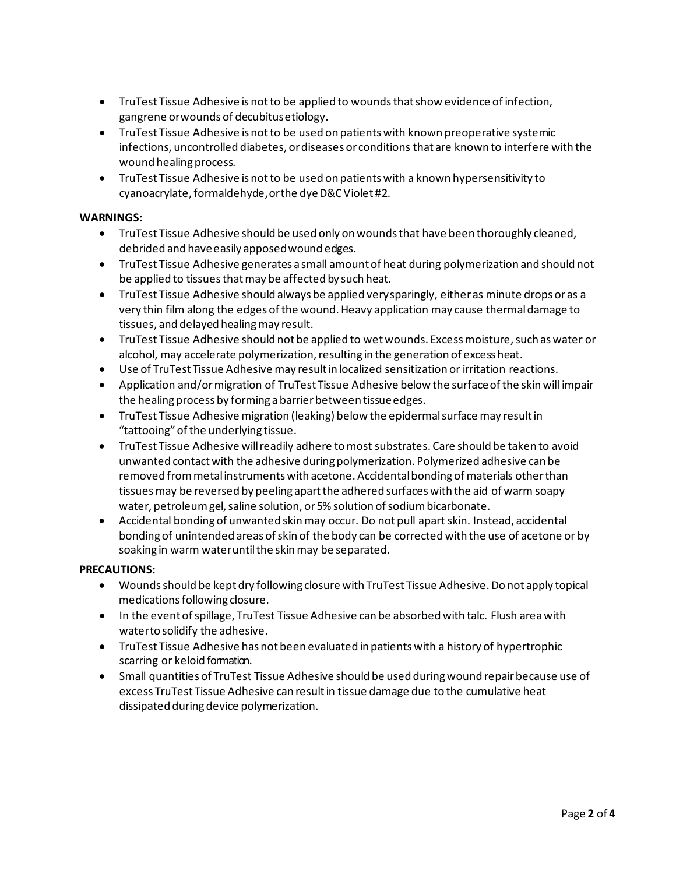- TruTest Tissue Adhesive is not to be applied to wounds that show evidence of infection, gangrene orwounds of decubitusetiology.
- TruTest Tissue Adhesive is not to be used on patients with known preoperative systemic infections, uncontrolled diabetes, or diseases or conditions that are known to interfere with the wound healing process.
- TruTest Tissue Adhesive is not to be used on patients with a known hypersensitivity to cyanoacrylate, formaldehyde, or the dye D&C Violet #2.

## **WARNINGS:**

- TruTest Tissue Adhesive should be used only on wounds that have been thoroughly cleaned, debrided and haveeasily apposedwound edges.
- TruTest Tissue Adhesive generates a small amount of heat during polymerization and should not be applied to tissues that may be affected by such heat.
- TruTest Tissue Adhesive should always be applied verysparingly, eitheras minute drops oras a very thin film along the edges of the wound. Heavy application may cause thermal damage to tissues, and delayed healingmay result.
- TruTest Tissue Adhesive should not be applied to wet wounds. Excess moisture, such as water or alcohol, may accelerate polymerization, resulting in the generation of excess heat.
- Use of TruTest Tissue Adhesive may resultin localized sensitization or irritation reactions.
- Application and/ormigration of TruTest Tissue Adhesive below the surfaceofthe skinwill impair the healing process by forming a barrier between tissue edges.
- TruTest Tissue Adhesive migration (leaking) below the epidermalsurface may resultin "tattooing"ofthe underlying tissue.
- TruTest Tissue Adhesive will readily adhere to most substrates. Care should be taken to avoid unwanted contact with the adhesive during polymerization. Polymerized adhesive can be removed from metal instruments with acetone. Accidental bonding of materials other than tissues may be reversed by peeling apart the adhered surfaces with the aid of warm soapy water, petroleum gel, saline solution, or 5% solution of sodium bicarbonate.
- Accidental bonding of unwanted skin may occur. Do not pull apart skin. Instead, accidental bonding of unintended areas of skin of the body can be corrected with the use of acetone or by soaking in warm wateruntilthe skinmay be separated.

## **PRECAUTIONS:**

- Woundsshould be kept dry following closure with TruTest Tissue Adhesive.Do not apply topical medications following closure.
- In the event of spillage, TruTest Tissue Adhesive can be absorbed with talc. Flush area with waterto solidify the adhesive.
- TruTest Tissue Adhesive has not been evaluated in patients with a history of hypertrophic scarring or keloid formation.
- Small quantities of TruTest Tissue Adhesive should be used during wound repair because use of excess TruTest Tissue Adhesive can result in tissue damage due to the cumulative heat dissipated during device polymerization.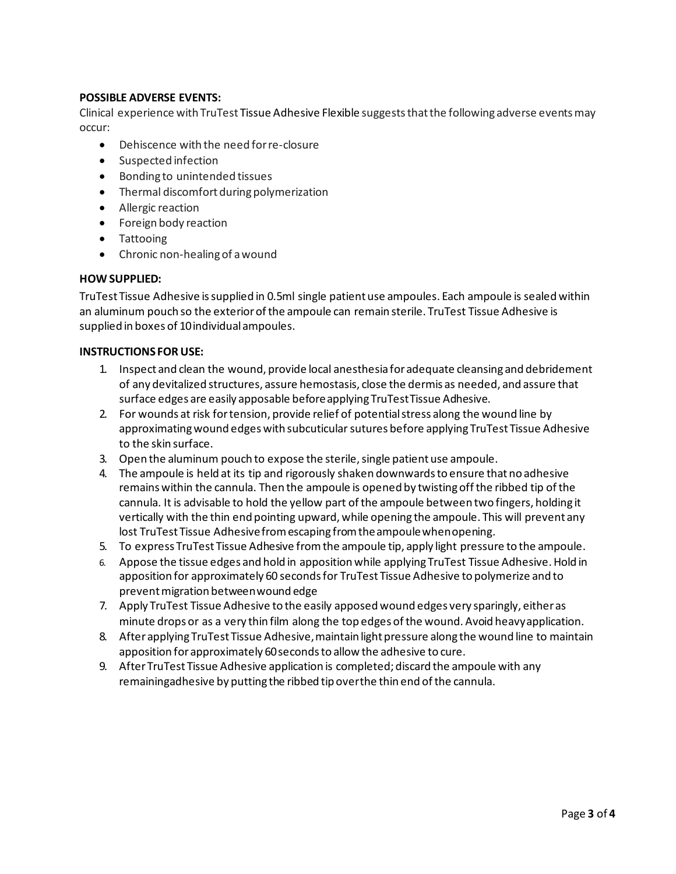# **POSSIBLE ADVERSE EVENTS:**

Clinical experience with TruTest Tissue Adhesive Flexible suggests that the following adverse events may occur:

- Dehiscence with the need forre‐closure
- Suspected infection
- Bonding to unintended tissues
- Thermal discomfort during polymerization
- Allergic reaction
- Foreign body reaction
- Tattooing
- Chronic non-healing of a wound

#### **HOW SUPPLIED:**

TruTest Tissue Adhesive is supplied in 0.5ml single patient use ampoules. Each ampoule is sealed within an aluminum pouch so the exterior of the ampoule can remain sterile. TruTest Tissue Adhesive is supplied in boxes of 10individualampoules.

#### **INSTRUCTIONS FOR USE:**

- 1. Inspect and clean the wound, provide local anesthesia for adequate cleansing and debridement of any devitalized structures, assure hemostasis, close the dermis as needed, and assure that surface edges are easily apposable beforeapplying TruTestTissue Adhesive.
- 2. For wounds at risk fortension, provide relief of potential stress along the wound line by approximating wound edges with subcuticular sutures before applying TruTest Tissue Adhesive to the skin surface.
- 3. Open the aluminum pouch to expose the sterile,single patient use ampoule.
- 4. The ampoule is held at its tip and rigorously shaken downwards to ensure that no adhesive remains within the cannula. Then the ampoule is opened by twisting off the ribbed tip of the cannula. It is advisable to hold the yellow part of the ampoule between two fingers, holding it vertically with the thin end pointing upward, while opening the ampoule. This will prevent any lost TruTest Tissue Adhesivefromescaping fromtheampoulewhenopening.
- 5. To express TruTest Tissue Adhesive fromthe ampoule tip, apply light pressure to the ampoule.
- 6. Appose the tissue edges and hold in apposition while applying TruTest Tissue Adhesive. Hold in apposition for approximately 60 seconds for TruTest Tissue Adhesive to polymerize and to prevent migration between wound edge
- 7. Apply TruTest Tissue Adhesive to the easily apposed wound edges very sparingly, either as minute drops or as a very thin film along the top edges ofthe wound. Avoid heavyapplication.
- 8. After applying TruTest Tissue Adhesive, maintain light pressure along the wound line to maintain apposition forapproximately 60secondsto allow the adhesive to cure.
- 9. After TruTest Tissue Adhesive application is completed; discard the ampoule with any remainingadhesive by putting the ribbed tip overthe thin end of the cannula.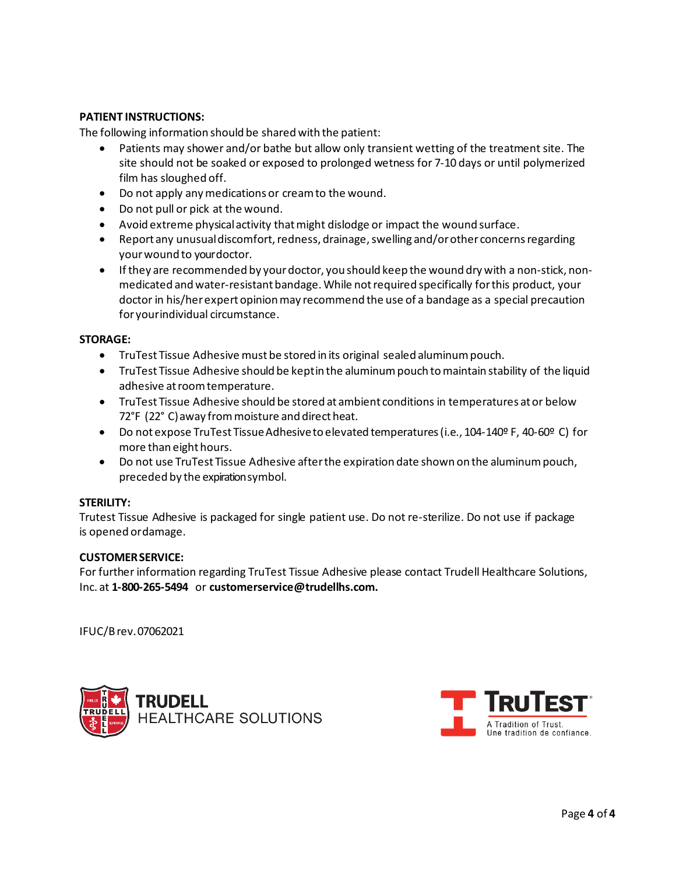# **PATIENT INSTRUCTIONS:**

The following information should be shared with the patient:

- Patients may shower and/or bathe but allow only transient wetting of the treatment site. The site should not be soaked or exposed to prolonged wetness for 7‐10 days or until polymerized film has sloughed off.
- Do not apply anymedications or creamto the wound.
- Do not pull or pick at the wound.
- Avoid extreme physical activity that might dislodge or impact the wound surface.
- Report any unusual discomfort, redness, drainage, swelling and/or other concerns regarding yourwound to yourdoctor.
- If they are recommended by your doctor, you should keep the wound dry with a non‐stick, non‐ medicated and water‐resistant bandage. While not required specifically for this product, your doctor in his/her expert opinion may recommend the use of a bandage as a special precaution for yourindividual circumstance.

#### **STORAGE:**

- TruTest Tissue Adhesive must be stored in its original sealed aluminumpouch.
- TruTest Tissue Adhesive should be keptin the aluminum pouch to maintain stability of the liquid adhesive atroomtemperature.
- TruTest Tissue Adhesive should be stored at ambient conditions in temperatures at or below 72°F (22°C) away from moisture and direct heat.
- Do not expose TruTest TissueAdhesiveto elevated temperatures(i.e., 104‐140º F, 40‐60º C) for more than eight hours.
- Do not use TruTest Tissue Adhesive after the expiration date shown on the aluminum pouch, preceded by the expirationsymbol.

#### **STERILITY:**

Trutest Tissue Adhesive is packaged for single patient use. Do not re-sterilize. Do not use if package is opened ordamage.

#### **CUSTOMERSERVICE:**

For further information regarding TruTest Tissue Adhesive please contact Trudell Healthcare Solutions, Inc. at **1-800-265-5494** or **[customerservice@trudellhs.com.](mailto:customerservice@trudellhs.com)**

IFUC/Brev.07062021



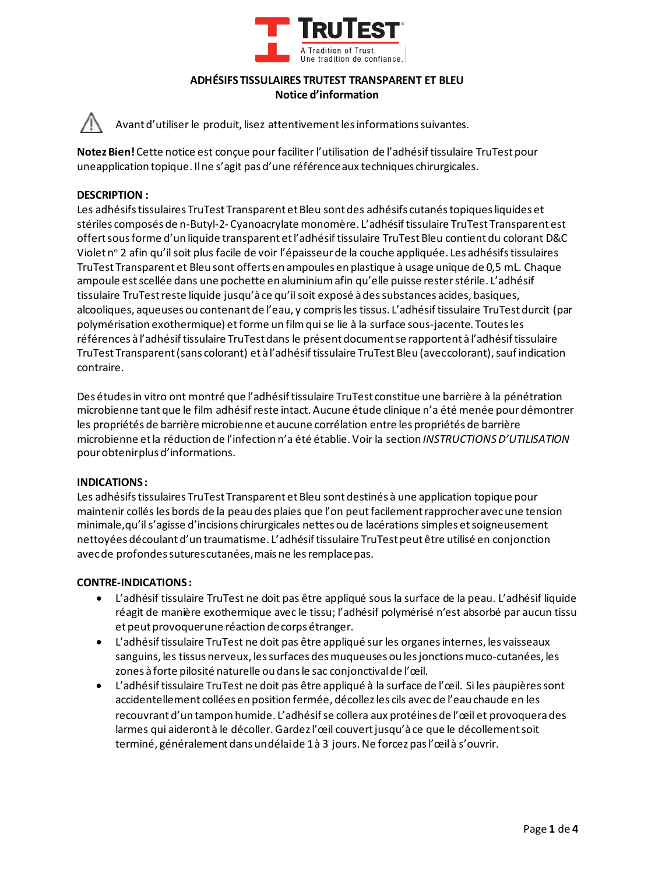

## **ADHÉSIFS TISSULAIRES TRUTEST TRANSPARENT ET BLEU Notice d'information**

Avant d'utiliser le produit, lisez attentivement les informations suivantes.

**Notez Bien!** Cette notice est conçue pour faciliter l'utilisation de l'adhésif tissulaire TruTest pour uneapplication topique. Ilne s'agit pas d'une référenceaux techniques chirurgicales.

# **DESCRIPTION :**

Les adhésifs tissulaires TruTest Transparent et Bleu sont des adhésifs cutanés topiques liquides et stériles composés de n-Butyl-2- Cyanoacrylate monomère. L'adhésif tissulaire TruTest Transparent est offert sousforme d'un liquide transparent et l'adhésiftissulaire TruTest Bleu contient du colorant D&C Violet nº 2 afin qu'il soit plus facile de voir l'épaisseur de la couche appliquée. Les adhésifs tissulaires TruTest Transparent et Bleu sont offerts en ampoules en plastique à usage unique de 0,5 mL. Chaque ampoule est scellée dans une pochette en aluminium afin qu'elle puisse rester stérile. L'adhésif tissulaire TruTest reste liquide jusqu'à ce qu'il soit exposé à des substances acides, basiques, alcooliques, aqueuses ou contenant de l'eau, y compris les tissus. L'adhésif tissulaire TruTest durcit (par polymérisation exothermique) et forme un film qui se lie à la surface sous-jacente. Toutes les références à l'adhésiftissulaire TruTest dans le présent document se rapportent à l'adhésif tissulaire TruTest Transparent (sans colorant) et à l'adhésif tissulaire TruTest Bleu (aveccolorant), sauf indication contraire.

Des études in vitro ont montré que l'adhésif tissulaire TruTest constitue une barrière à la pénétration microbienne tant que le film adhésif reste intact. Aucune étude clinique n'a été menée pour démontrer les propriétés de barrière microbienne et aucune corrélation entre les propriétés de barrière microbienne et la réduction de l'infection n'a été établie. Voir la section *INSTRUCTIONS D'UTILISATION* pourobtenirplus d'informations.

#### **INDICATIONS :**

Les adhésifs tissulaires TruTest Transparent et Bleu sont destinés à une application topique pour maintenir collés les bords de la peau des plaies que l'on peut facilement rapprocher avec une tension minimale,qu'il s'agisse d'incisions chirurgicales nettes ou de lacérations simples et soigneusement nettoyées découlant d'un traumatisme. L'adhésif tissulaire TruTest peut être utilisé en conjonction avec de profondes sutures cutanées, mais ne les remplace pas.

#### **CONTRE-INDICATIONS :**

- L'adhésif tissulaire TruTest ne doit pas être appliqué sous la surface de la peau. L'adhésif liquide réagit de manière exothermique avec le tissu; l'adhésif polymérisé n'est absorbé par aucun tissu et peut provoquerune réaction decorps étranger.
- L'adhésif tissulaire TruTest ne doit pas être appliqué sur les organes internes, les vaisseaux sanguins, les tissus nerveux, les surfaces des muqueuses ou les jonctions muco-cutanées, les zones à forte pilosité naturelle ou dans le sac conjonctival de l'œil.
- L'adhésif tissulaire TruTest ne doit pas être appliqué à la surface de l'œil. Si les paupières sont accidentellement collées en position fermée, décollez les cils avec de l'eau chaude en les recouvrant d'un tampon humide. L'adhésif se collera aux protéines de l'œil et provoquera des larmes qui aideront à le décoller. Gardez l'œil couvert jusqu'à ce que le décollement soit terminé, généralement dans undélaide 1 à 3 jours. Ne forcez pas l'œil à s'ouvrir.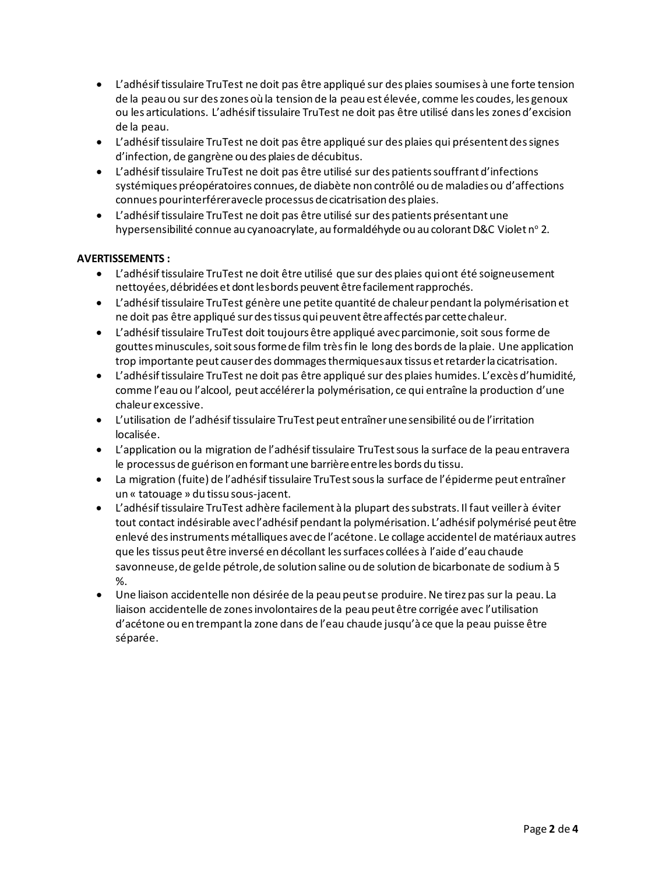- L'adhésif tissulaire TruTest ne doit pas être appliqué sur des plaies soumises à une forte tension de la peau ou sur des zones où la tension de la peau est élevée, comme les coudes, les genoux ou les articulations. L'adhésif tissulaire TruTest ne doit pas être utilisé dans les zones d'excision de la peau.
- L'adhésif tissulaire TruTest ne doit pas être appliqué sur des plaies qui présentent des signes d'infection, de gangrène ou des plaies de décubitus.
- L'adhésif tissulaire TruTest ne doit pas être utilisé sur des patients souffrant d'infections systémiques préopératoires connues, de diabète non contrôlé ou de maladies ou d'affections connues pourinterféreravecle processus decicatrisation des plaies.
- L'adhésif tissulaire TruTest ne doit pas être utilisé sur des patients présentant une hypersensibilité connue au cyanoacrylate, au formaldéhyde ou au colorant D&C Violet n° 2.

# **AVERTISSEMENTS :**

- L'adhésiftissulaire TruTest ne doit être utilisé que sur des plaies quiont été soigneusement nettoyées, débridées et dont les bords peuvent être facilement rapprochés.
- L'adhésif tissulaire TruTest génère une petite quantité de chaleur pendant la polymérisation et ne doit pas être appliqué sur des tissus qui peuvent être affectés par cette chaleur.
- L'adhésif tissulaire TruTest doit toujours être appliqué avec parcimonie, soit sous forme de gouttes minuscules, soit sous forme de film très fin le long des bords de la plaie. Une application trop importante peut causerdes dommagesthermiquesaux tissus etretarderla cicatrisation.
- L'adhésif tissulaire TruTest ne doit pas être appliqué sur des plaies humides. L'excès d'humidité, comme l'eau ou l'alcool, peut accélérer la polymérisation, ce qui entraîne la production d'une chaleurexcessive.
- L'utilisation de l'adhésiftissulaire TruTest peut entraînerunesensibilité ou de l'irritation localisée.
- L'application ou la migration de l'adhésif tissulaire TruTest sous la surface de la peau entravera le processus de guérison en formant une barrière entre les bords du tissu.
- La migration (fuite) de l'adhésif tissulaire TruTest sous la surface de l'épiderme peut entraîner un « tatouage » du tissu sous-jacent.
- L'adhésif tissulaire TruTest adhère facilement à la plupart des substrats. Il faut veiller à éviter tout contact indésirable avec l'adhésif pendant la polymérisation. L'adhésif polymérisé peut être enlevé des instruments métalliques avec de l'acétone. Le collage accidentel de matériaux autres que les tissus peut être inversé en décollant les surfaces collées à l'aide d'eau chaude savonneuse, de gelde pétrole, de solution saline ou de solution de bicarbonate de sodium à 5 %.
- Une liaison accidentelle non désirée de la peau peut se produire. Ne tirez pas sur la peau. La liaison accidentelle de zones involontaires de la peau peut être corrigée avec l'utilisation d'acétone ou en trempant la zone dans de l'eau chaude jusqu'à ce que la peau puisse être séparée.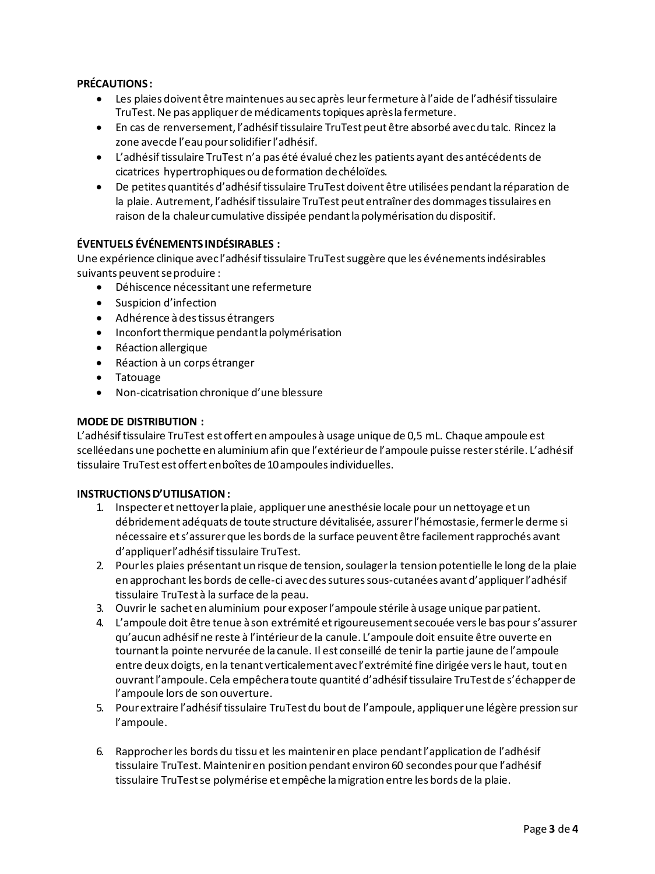# **PRÉCAUTIONS :**

- Les plaies doivent être maintenues au sec après leur fermeture à l'aide de l'adhésif tissulaire TruTest.Ne pas appliquerde médicamentstopiques aprèsla fermeture.
- En cas de renversement, l'adhésif tissulaire TruTest peut être absorbé avec du talc. Rincez la zone avecde l'eau pour solidifier l'adhésif.
- L'adhésif tissulaire TruTest n'a pas été évalué chez les patients ayant des antécédents de cicatrices hypertrophiques ou deformation dechéloïdes.
- De petites quantités d'adhésif tissulaire TruTest doivent être utilisées pendant la réparation de la plaie. Autrement, l'adhésif tissulaire TruTest peut entraîner des dommages tissulaires en raison de la chaleur cumulative dissipée pendant la polymérisation du dispositif.

# **ÉVENTUELS ÉVÉNEMENTS INDÉSIRABLES :**

Une expérience clinique avec l'adhésif tissulaire TruTest suggère que les événements indésirables suivants peuvent se produire :

- Déhiscence nécessitant une refermeture
- Suspicion d'infection
- Adhérence àdestissus étrangers
- Inconfort thermique pendant la polymérisation
- Réaction allergique
- Réaction à un corps étranger
- Tatouage
- Non-cicatrisation chronique d'une blessure

## **MODE DE DISTRIBUTION :**

L'adhésif tissulaire TruTest est offert en ampoules à usage unique de 0,5 mL. Chaque ampoule est scelléedans une pochette en aluminium afin que l'extérieur de l'ampoule puisse rester stérile. L'adhésif tissulaire TruTest est offert enboîtes de 10 ampoules individuelles.

### **INSTRUCTIONS D'UTILISATION :**

- 1. Inspecter et nettoyer la plaie, appliquer une anesthésie locale pour un nettoyage et un débridement adéquats de toute structure dévitalisée, assurer l'hémostasie, fermer le derme si nécessaire et s'assurer que les bords de la surface peuvent être facilement rapprochés avant d'appliquerl'adhésiftissulaire TruTest.
- 2. Pour les plaies présentant un risque de tension, soulager la tension potentielle le long de la plaie en approchant les bords de celle-ci avec des sutures sous-cutanées avant d'appliquer l'adhésif tissulaire TruTest à la surface de la peau.
- 3. Ouvrir le sachet en aluminium pour exposer l'ampoule stérile à usage unique par patient.
- 4. L'ampoule doit être tenue à son extrémité et rigoureusement secouée vers le bas pour s'assurer qu'aucun adhésif ne reste à l'intérieur de la canule. L'ampoule doit ensuite être ouverte en tournant la pointe nervurée de la canule. Il est conseillé de tenir la partie jaune de l'ampoule entre deux doigts, en la tenant verticalement avec l'extrémité fine dirigée vers le haut, tout en ouvrant l'ampoule. Cela empêchera toute quantité d'adhésif tissulaire TruTest de s'échapper de l'ampoule lors de son ouverture.
- 5. Pour extraire l'adhésif tissulaire TruTest du bout de l'ampoule, appliquer une légère pression sur l'ampoule.
- 6. Rapprocher les bords du tissu et les maintenir en place pendant l'application de l'adhésif tissulaire TruTest. Maintenir en position pendant environ 60 secondes pour que l'adhésif tissulaire TruTestse polymérise et empêche lamigration entre les bords de la plaie.